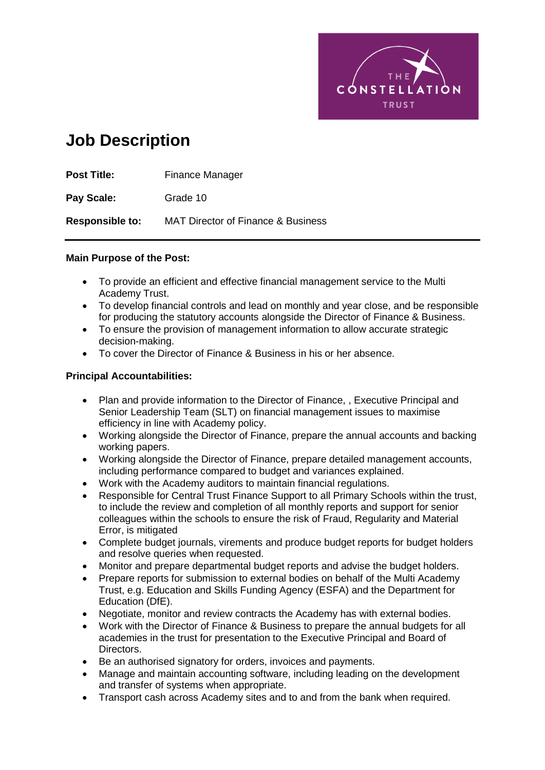

# **Job Description**

| <b>Post Title:</b>     | Finance Manager                               |
|------------------------|-----------------------------------------------|
| Pay Scale:             | Grade 10                                      |
| <b>Responsible to:</b> | <b>MAT Director of Finance &amp; Business</b> |

#### **Main Purpose of the Post:**

- To provide an efficient and effective financial management service to the Multi Academy Trust.
- To develop financial controls and lead on monthly and year close, and be responsible for producing the statutory accounts alongside the Director of Finance & Business.
- To ensure the provision of management information to allow accurate strategic decision-making.
- To cover the Director of Finance & Business in his or her absence.

#### **Principal Accountabilities:**

- Plan and provide information to the Director of Finance, , Executive Principal and Senior Leadership Team (SLT) on financial management issues to maximise efficiency in line with Academy policy.
- Working alongside the Director of Finance, prepare the annual accounts and backing working papers.
- Working alongside the Director of Finance, prepare detailed management accounts, including performance compared to budget and variances explained.
- Work with the Academy auditors to maintain financial regulations.
- Responsible for Central Trust Finance Support to all Primary Schools within the trust, to include the review and completion of all monthly reports and support for senior colleagues within the schools to ensure the risk of Fraud, Regularity and Material Error, is mitigated
- Complete budget journals, virements and produce budget reports for budget holders and resolve queries when requested.
- Monitor and prepare departmental budget reports and advise the budget holders.
- Prepare reports for submission to external bodies on behalf of the Multi Academy Trust, e.g. Education and Skills Funding Agency (ESFA) and the Department for Education (DfE).
- Negotiate, monitor and review contracts the Academy has with external bodies.
- Work with the Director of Finance & Business to prepare the annual budgets for all academies in the trust for presentation to the Executive Principal and Board of Directors.
- Be an authorised signatory for orders, invoices and payments.
- Manage and maintain accounting software, including leading on the development and transfer of systems when appropriate.
- Transport cash across Academy sites and to and from the bank when required.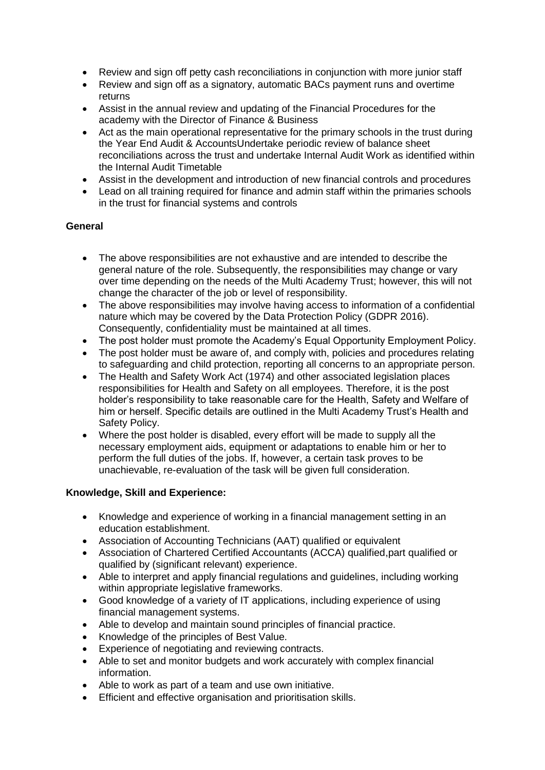- Review and sign off petty cash reconciliations in conjunction with more junior staff
- Review and sign off as a signatory, automatic BACs payment runs and overtime returns
- Assist in the annual review and updating of the Financial Procedures for the academy with the Director of Finance & Business
- Act as the main operational representative for the primary schools in the trust during the Year End Audit & AccountsUndertake periodic review of balance sheet reconciliations across the trust and undertake Internal Audit Work as identified within the Internal Audit Timetable
- Assist in the development and introduction of new financial controls and procedures
- Lead on all training required for finance and admin staff within the primaries schools in the trust for financial systems and controls

## **General**

- The above responsibilities are not exhaustive and are intended to describe the general nature of the role. Subsequently, the responsibilities may change or vary over time depending on the needs of the Multi Academy Trust; however, this will not change the character of the job or level of responsibility.
- The above responsibilities may involve having access to information of a confidential nature which may be covered by the Data Protection Policy (GDPR 2016). Consequently, confidentiality must be maintained at all times.
- The post holder must promote the Academy's Equal Opportunity Employment Policy.
- The post holder must be aware of, and comply with, policies and procedures relating to safeguarding and child protection, reporting all concerns to an appropriate person.
- The Health and Safety Work Act (1974) and other associated legislation places responsibilities for Health and Safety on all employees. Therefore, it is the post holder's responsibility to take reasonable care for the Health, Safety and Welfare of him or herself. Specific details are outlined in the Multi Academy Trust's Health and Safety Policy.
- Where the post holder is disabled, every effort will be made to supply all the necessary employment aids, equipment or adaptations to enable him or her to perform the full duties of the jobs. If, however, a certain task proves to be unachievable, re-evaluation of the task will be given full consideration.

#### **Knowledge, Skill and Experience:**

- Knowledge and experience of working in a financial management setting in an education establishment.
- Association of Accounting Technicians (AAT) qualified or equivalent
- Association of Chartered Certified Accountants (ACCA) qualified,part qualified or qualified by (significant relevant) experience.
- Able to interpret and apply financial regulations and guidelines, including working within appropriate legislative frameworks.
- Good knowledge of a variety of IT applications, including experience of using financial management systems.
- Able to develop and maintain sound principles of financial practice.
- Knowledge of the principles of Best Value.
- Experience of negotiating and reviewing contracts.
- Able to set and monitor budgets and work accurately with complex financial information.
- Able to work as part of a team and use own initiative.
- Efficient and effective organisation and prioritisation skills.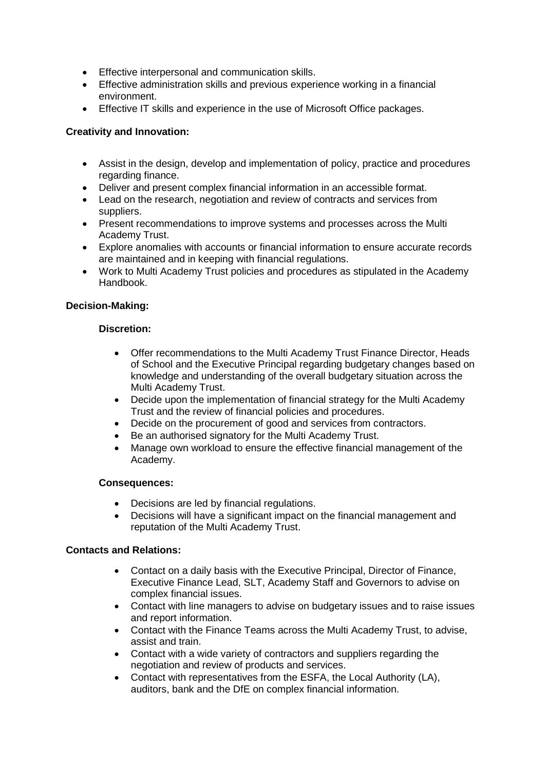- Effective interpersonal and communication skills.
- Effective administration skills and previous experience working in a financial environment.
- Effective IT skills and experience in the use of Microsoft Office packages.

## **Creativity and Innovation:**

- Assist in the design, develop and implementation of policy, practice and procedures regarding finance.
- Deliver and present complex financial information in an accessible format.
- Lead on the research, negotiation and review of contracts and services from suppliers.
- Present recommendations to improve systems and processes across the Multi Academy Trust.
- Explore anomalies with accounts or financial information to ensure accurate records are maintained and in keeping with financial regulations.
- Work to Multi Academy Trust policies and procedures as stipulated in the Academy Handbook.

#### **Decision-Making:**

#### **Discretion:**

- Offer recommendations to the Multi Academy Trust Finance Director, Heads of School and the Executive Principal regarding budgetary changes based on knowledge and understanding of the overall budgetary situation across the Multi Academy Trust.
- Decide upon the implementation of financial strategy for the Multi Academy Trust and the review of financial policies and procedures.
- Decide on the procurement of good and services from contractors.
- Be an authorised signatory for the Multi Academy Trust.
- Manage own workload to ensure the effective financial management of the Academy.

#### **Consequences:**

- Decisions are led by financial regulations.
- Decisions will have a significant impact on the financial management and reputation of the Multi Academy Trust.

#### **Contacts and Relations:**

- Contact on a daily basis with the Executive Principal, Director of Finance, Executive Finance Lead, SLT, Academy Staff and Governors to advise on complex financial issues.
- Contact with line managers to advise on budgetary issues and to raise issues and report information.
- Contact with the Finance Teams across the Multi Academy Trust, to advise, assist and train.
- Contact with a wide variety of contractors and suppliers regarding the negotiation and review of products and services.
- Contact with representatives from the ESFA, the Local Authority (LA), auditors, bank and the DfE on complex financial information.